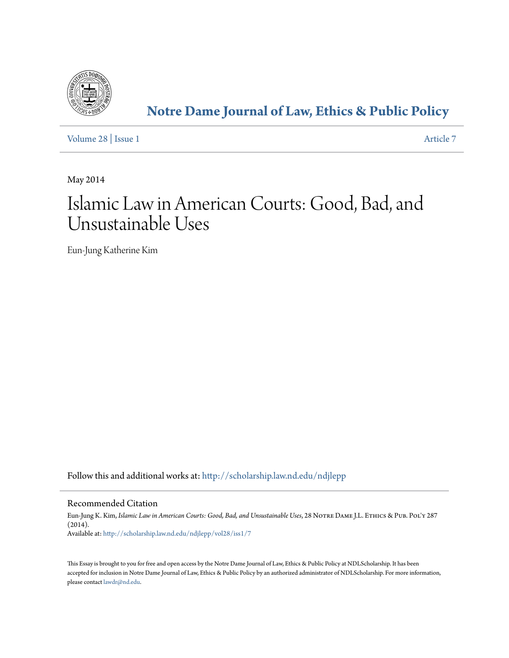

# **[Notre Dame Journal of Law, Ethics & Public Policy](http://scholarship.law.nd.edu/ndjlepp?utm_source=scholarship.law.nd.edu%2Fndjlepp%2Fvol28%2Fiss1%2F7&utm_medium=PDF&utm_campaign=PDFCoverPages)**

[Volume 28](http://scholarship.law.nd.edu/ndjlepp/vol28?utm_source=scholarship.law.nd.edu%2Fndjlepp%2Fvol28%2Fiss1%2F7&utm_medium=PDF&utm_campaign=PDFCoverPages) | [Issue 1](http://scholarship.law.nd.edu/ndjlepp/vol28/iss1?utm_source=scholarship.law.nd.edu%2Fndjlepp%2Fvol28%2Fiss1%2F7&utm_medium=PDF&utm_campaign=PDFCoverPages) [Article 7](http://scholarship.law.nd.edu/ndjlepp/vol28/iss1/7?utm_source=scholarship.law.nd.edu%2Fndjlepp%2Fvol28%2Fiss1%2F7&utm_medium=PDF&utm_campaign=PDFCoverPages)

May 2014

# Islamic Law in American Courts: Good, Bad, and Unsustainable Uses

Eun-Jung Katherine Kim

Follow this and additional works at: [http://scholarship.law.nd.edu/ndjlepp](http://scholarship.law.nd.edu/ndjlepp?utm_source=scholarship.law.nd.edu%2Fndjlepp%2Fvol28%2Fiss1%2F7&utm_medium=PDF&utm_campaign=PDFCoverPages)

### Recommended Citation

Eun-Jung K. Kim, *Islamic Law in American Courts: Good, Bad, and Unsustainable Uses*, 28 Notre Dame J.L. Ethics & Pub. Pol'y 287 (2014). Available at: [http://scholarship.law.nd.edu/ndjlepp/vol28/iss1/7](http://scholarship.law.nd.edu/ndjlepp/vol28/iss1/7?utm_source=scholarship.law.nd.edu%2Fndjlepp%2Fvol28%2Fiss1%2F7&utm_medium=PDF&utm_campaign=PDFCoverPages)

This Essay is brought to you for free and open access by the Notre Dame Journal of Law, Ethics & Public Policy at NDLScholarship. It has been accepted for inclusion in Notre Dame Journal of Law, Ethics & Public Policy by an authorized administrator of NDLScholarship. For more information, please contact [lawdr@nd.edu](mailto:lawdr@nd.edu).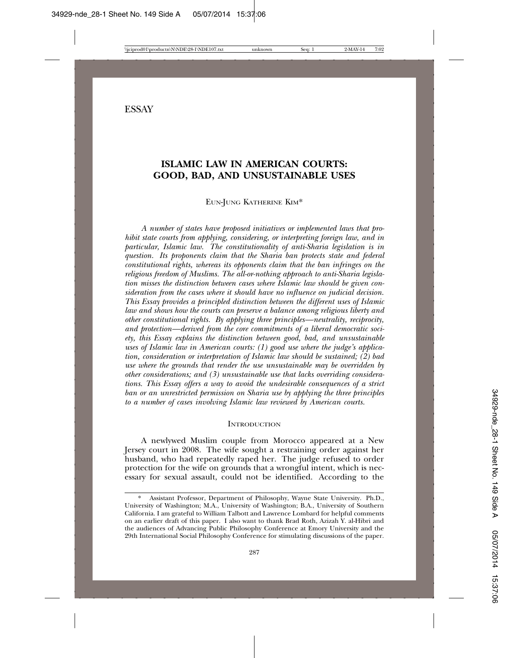## **ISLAMIC LAW IN AMERICAN COURTS: GOOD, BAD, AND UNSUSTAINABLE USES**

EUN-JUNG KATHERINE KIM\*

*A number of states have proposed initiatives or implemented laws that prohibit state courts from applying, considering, or interpreting foreign law, and in particular, Islamic law. The constitutionality of anti-Sharia legislation is in question. Its proponents claim that the Sharia ban protects state and federal constitutional rights, whereas its opponents claim that the ban infringes on the religious freedom of Muslims. The all-or-nothing approach to anti-Sharia legislation misses the distinction between cases where Islamic law should be given consideration from the cases where it should have no influence on judicial decision. This Essay provides a principled distinction between the different uses of Islamic law and shows how the courts can preserve a balance among religious liberty and other constitutional rights. By applying three principles—neutrality, reciprocity, and protection—derived from the core commitments of a liberal democratic society, this Essay explains the distinction between good, bad, and unsustainable uses of Islamic law in American courts: (1) good use where the judge's application, consideration or interpretation of Islamic law should be sustained; (2) bad use where the grounds that render the use unsustainable may be overridden by other considerations; and (3) unsustainable use that lacks overriding considerations. This Essay offers a way to avoid the undesirable consequences of a strict ban or an unrestricted permission on Sharia use by applying the three principles to a number of cases involving Islamic law reviewed by American courts.*

#### **INTRODUCTION**

A newlywed Muslim couple from Morocco appeared at a New Jersey court in 2008. The wife sought a restraining order against her husband, who had repeatedly raped her. The judge refused to order protection for the wife on grounds that a wrongful intent, which is necessary for sexual assault, could not be identified. According to the

Assistant Professor, Department of Philosophy, Wayne State University. Ph.D., University of Washington; M.A., University of Washington; B.A., University of Southern California. I am grateful to William Talbott and Lawrence Lombard for helpful comments on an earlier draft of this paper. I also want to thank Brad Roth, Azizah Y. al-Hibri and the audiences of Advancing Public Philosophy Conference at Emory University and the 29th International Social Philosophy Conference for stimulating discussions of the paper.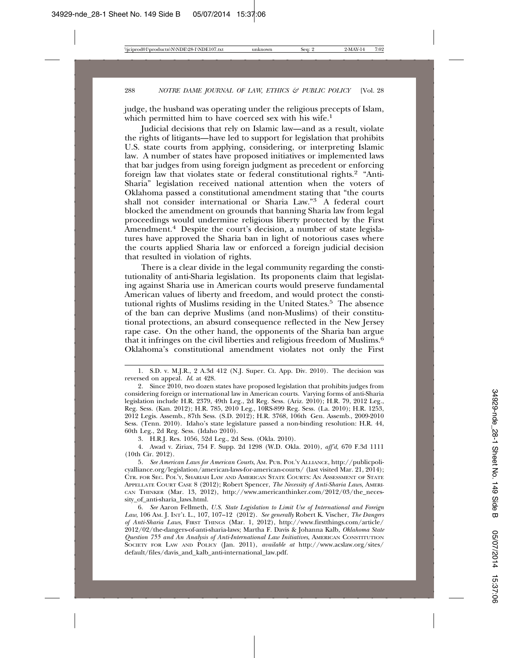judge, the husband was operating under the religious precepts of Islam, which permitted him to have coerced sex with his wife.<sup>1</sup>

Judicial decisions that rely on Islamic law—and as a result, violate the rights of litigants—have led to support for legislation that prohibits U.S. state courts from applying, considering, or interpreting Islamic law. A number of states have proposed initiatives or implemented laws that bar judges from using foreign judgment as precedent or enforcing foreign law that violates state or federal constitutional rights.2 "Anti-Sharia" legislation received national attention when the voters of Oklahoma passed a constitutional amendment stating that "the courts shall not consider international or Sharia Law."<sup>3</sup> A federal court blocked the amendment on grounds that banning Sharia law from legal proceedings would undermine religious liberty protected by the First Amendment.<sup>4</sup> Despite the court's decision, a number of state legislatures have approved the Sharia ban in light of notorious cases where the courts applied Sharia law or enforced a foreign judicial decision that resulted in violation of rights.

There is a clear divide in the legal community regarding the constitutionality of anti-Sharia legislation. Its proponents claim that legislating against Sharia use in American courts would preserve fundamental American values of liberty and freedom, and would protect the constitutional rights of Muslims residing in the United States.5 The absence of the ban can deprive Muslims (and non-Muslims) of their constitutional protections, an absurd consequence reflected in the New Jersey rape case. On the other hand, the opponents of the Sharia ban argue that it infringes on the civil liberties and religious freedom of Muslims.6 Oklahoma's constitutional amendment violates not only the First

3. H.R.J. Res. 1056, 52d Leg., 2d Sess. (Okla. 2010).

4. Awad v. Ziriax, 754 F. Supp. 2d 1298 (W.D. Okla. 2010), *aff'd*, 670 F.3d 1111 (10th Cir. 2012).

5. *See American Laws for American Courts*, AM. PUB. POL'Y ALLIANCE, http://publicpolicyalliance.org/legislation/american-laws-for-american-courts/ (last visited Mar. 21, 2014); CTR. FOR SEC. POL'Y, SHARIAH LAW AND AMERICAN STATE COURTS: AN ASSESSMENT OF STATE APPELLATE COURT CASE 8 (2012); Robert Spencer, *The Necessity of Anti-Sharia Laws*, AMERI-CAN THINKER (Mar. 13, 2012), http://www.americanthinker.com/2012/03/the\_necessity\_of\_anti-sharia\_laws.html.

6. *See* Aaron Fellmeth, *U.S. State Legislation to Limit Use of International and Foreign Law*, 106 AM. J. INT'L L., 107, 107–12 (2012). *See generally* Robert K. Vischer, *The Dangers of Anti-Sharia Laws*, FIRST THINGS (Mar. 1, 2012), http://www.firstthings.com/article/ 2012/02/the-dangers-of-anti-sharia-laws; Martha F. Davis & Johanna Kalb, *Oklahoma State Question 755 and An Analysis of Anti-International Law Initiatives*, AMERICAN CONSTITUTION SOCIETY FOR LAW AND POLICY (Jan. 2011), *available at* http://www.acslaw.org/sites/ default/files/davis\_and\_kalb\_anti-international\_law.pdf.

<sup>1.</sup> S.D. v. M.J.R., 2 A.3d 412 (N.J. Super. Ct. App. Div. 2010). The decision was reversed on appeal. *Id*. at 428.

<sup>2.</sup> Since 2010, two dozen states have proposed legislation that prohibits judges from considering foreign or international law in American courts. Varying forms of anti-Sharia legislation include H.R. 2379, 49th Leg., 2d Reg. Sess. (Ariz. 2010); H.R. 79, 2012 Leg., Reg. Sess. (Kan. 2012); H.R. 785, 2010 Leg., 10RS-899 Reg. Sess. (La. 2010); H.R. 1253, 2012 Legis. Assemb., 87th Sess. (S.D. 2012); H.R. 3768, 106th Gen. Assemb., 2009-2010 Sess. (Tenn. 2010). Idaho's state legislature passed a non-binding resolution: H.R. 44, 60th Leg., 2d Reg. Sess. (Idaho 2010).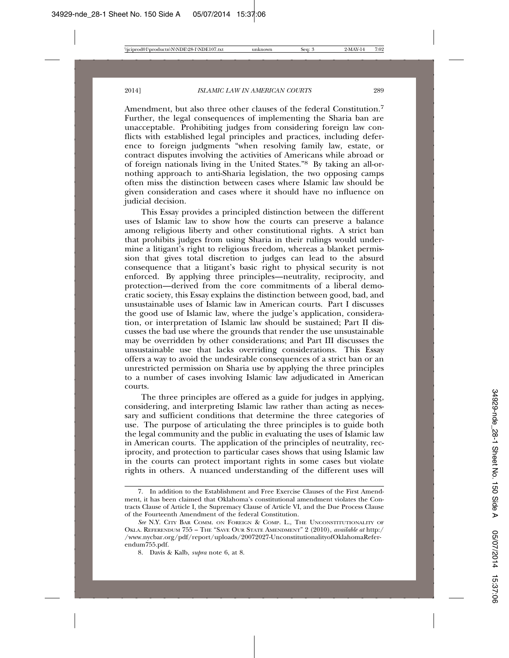Amendment, but also three other clauses of the federal Constitution.<sup>7</sup> Further, the legal consequences of implementing the Sharia ban are unacceptable. Prohibiting judges from considering foreign law conflicts with established legal principles and practices, including deference to foreign judgments "when resolving family law, estate, or contract disputes involving the activities of Americans while abroad or of foreign nationals living in the United States."8 By taking an all-ornothing approach to anti-Sharia legislation, the two opposing camps often miss the distinction between cases where Islamic law should be given consideration and cases where it should have no influence on judicial decision.

This Essay provides a principled distinction between the different uses of Islamic law to show how the courts can preserve a balance among religious liberty and other constitutional rights. A strict ban that prohibits judges from using Sharia in their rulings would undermine a litigant's right to religious freedom, whereas a blanket permission that gives total discretion to judges can lead to the absurd consequence that a litigant's basic right to physical security is not enforced. By applying three principles—neutrality, reciprocity, and protection—derived from the core commitments of a liberal democratic society, this Essay explains the distinction between good, bad, and unsustainable uses of Islamic law in American courts. Part I discusses the good use of Islamic law, where the judge's application, consideration, or interpretation of Islamic law should be sustained; Part II discusses the bad use where the grounds that render the use unsustainable may be overridden by other considerations; and Part III discusses the unsustainable use that lacks overriding considerations. This Essay offers a way to avoid the undesirable consequences of a strict ban or an unrestricted permission on Sharia use by applying the three principles to a number of cases involving Islamic law adjudicated in American courts.

The three principles are offered as a guide for judges in applying, considering, and interpreting Islamic law rather than acting as necessary and sufficient conditions that determine the three categories of use. The purpose of articulating the three principles is to guide both the legal community and the public in evaluating the uses of Islamic law in American courts. The application of the principles of neutrality, reciprocity, and protection to particular cases shows that using Islamic law in the courts can protect important rights in some cases but violate rights in others. A nuanced understanding of the different uses will

<sup>7.</sup> In addition to the Establishment and Free Exercise Clauses of the First Amendment, it has been claimed that Oklahoma's constitutional amendment violates the Contracts Clause of Article I, the Supremacy Clause of Article VI, and the Due Process Clause of the Fourteenth Amendment of the federal Constitution.

*See* N.Y. CITY BAR COMM. ON FOREIGN & COMP. L., THE UNCONSTITUTIONALITY OF OKLA. REFERENDUM 755 – THE "SAVE OUR STATE AMENDMENT" 2 (2010), *available at* http:/ /www.nycbar.org/pdf/report/uploads/20072027-UnconstitutionalityofOklahomaReferendum755.pdf.

<sup>8.</sup> Davis & Kalb, *supra* note 6, at 8.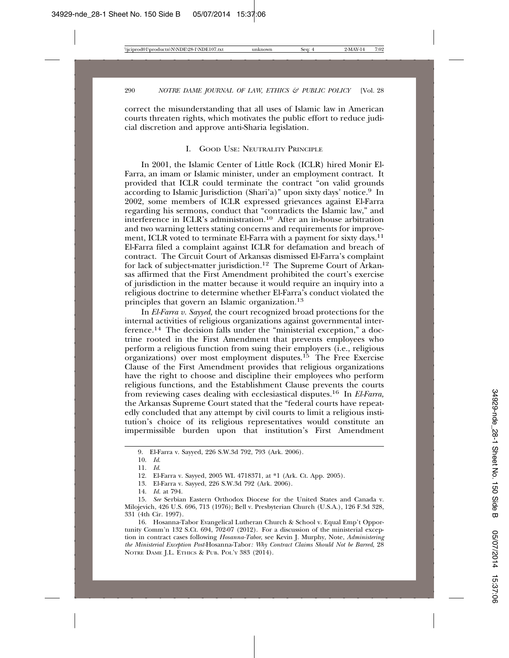correct the misunderstanding that all uses of Islamic law in American courts threaten rights, which motivates the public effort to reduce judicial discretion and approve anti-Sharia legislation.

#### I. GOOD USE: NEUTRALITY PRINCIPLE

In 2001, the Islamic Center of Little Rock (ICLR) hired Monir El-Farra, an imam or Islamic minister, under an employment contract. It provided that ICLR could terminate the contract "on valid grounds according to Islamic Jurisdiction (Shari'a)" upon sixty days' notice.9 In 2002, some members of ICLR expressed grievances against El-Farra regarding his sermons, conduct that "contradicts the Islamic law," and interference in ICLR's administration.10 After an in-house arbitration and two warning letters stating concerns and requirements for improvement, ICLR voted to terminate El-Farra with a payment for sixty days.<sup>11</sup> El-Farra filed a complaint against ICLR for defamation and breach of contract. The Circuit Court of Arkansas dismissed El-Farra's complaint for lack of subject-matter jurisdiction.<sup>12</sup> The Supreme Court of Arkansas affirmed that the First Amendment prohibited the court's exercise of jurisdiction in the matter because it would require an inquiry into a religious doctrine to determine whether El-Farra's conduct violated the principles that govern an Islamic organization.13

In *El-Farra v. Sayyed,* the court recognized broad protections for the internal activities of religious organizations against governmental interference.14 The decision falls under the "ministerial exception," a doctrine rooted in the First Amendment that prevents employees who perform a religious function from suing their employers (i.e., religious  $\alpha$ organizations) over most employment disputes.<sup>15</sup> The Free Exercise Clause of the First Amendment provides that religious organizations have the right to choose and discipline their employees who perform religious functions, and the Establishment Clause prevents the courts from reviewing cases dealing with ecclesiastical disputes.16 In *El-Farra,* the Arkansas Supreme Court stated that the "federal courts have repeatedly concluded that any attempt by civil courts to limit a religious institution's choice of its religious representatives would constitute an impermissible burden upon that institution's First Amendment

<sup>9.</sup> El-Farra v. Sayyed, 226 S.W.3d 792, 793 (Ark. 2006).

<sup>10.</sup> *Id*.

<sup>11.</sup> *Id*.

<sup>12.</sup> El-Farra v. Sayyed, 2005 WL 4718371, at \*1 (Ark. Ct. App. 2005).

<sup>13.</sup> El-Farra v. Sayyed, 226 S.W.3d 792 (Ark. 2006).

<sup>14.</sup> *Id.* at 794.

<sup>15.</sup> *See* Serbian Eastern Orthodox Diocese for the United States and Canada v. Milojevich, 426 U.S. 696, 713 (1976); Bell v. Presbyterian Church (U.S.A.), 126 F.3d 328, 331 (4th Cir. 1997).

<sup>16.</sup> Hosanna-Tabor Evangelical Lutheran Church & School v. Equal Emp't Opportunity Comm'n 132 S.Ct. 694, 702-07 (2012). For a discussion of the ministerial exception in contract cases following *Hosanna-Tabor*, see Kevin J. Murphy, Note, *Administering the Ministerial Exception Post-*Hosanna-Tabor*: Why Contract Claims Should Not be Barred*, 28 NOTRE DAME J.L. ETHICS & PUB. POL'Y 383 (2014).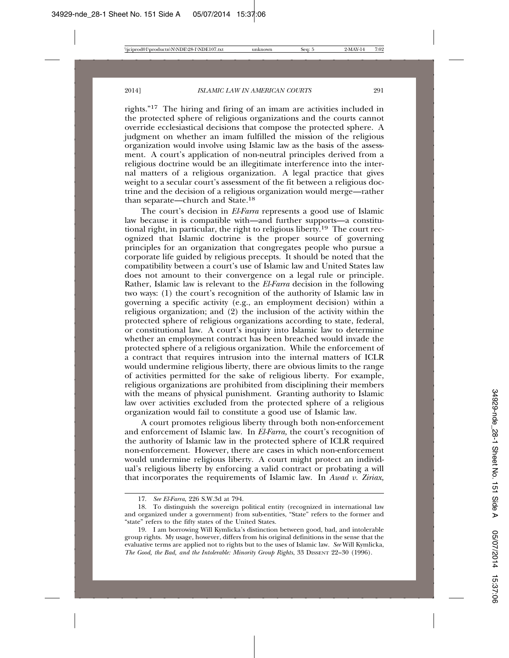rights."17 The hiring and firing of an imam are activities included in the protected sphere of religious organizations and the courts cannot override ecclesiastical decisions that compose the protected sphere. A judgment on whether an imam fulfilled the mission of the religious organization would involve using Islamic law as the basis of the assessment. A court's application of non-neutral principles derived from a religious doctrine would be an illegitimate interference into the internal matters of a religious organization. A legal practice that gives weight to a secular court's assessment of the fit between a religious doctrine and the decision of a religious organization would merge—rather than separate—church and State.18

The court's decision in *El-Farra* represents a good use of Islamic law because it is compatible with—and further supports—a constitutional right, in particular, the right to religious liberty.<sup>19</sup> The court recognized that Islamic doctrine is the proper source of governing principles for an organization that congregates people who pursue a corporate life guided by religious precepts. It should be noted that the compatibility between a court's use of Islamic law and United States law does not amount to their convergence on a legal rule or principle. Rather, Islamic law is relevant to the *El-Farra* decision in the following two ways: (1) the court's recognition of the authority of Islamic law in governing a specific activity (e.g., an employment decision) within a religious organization; and (2) the inclusion of the activity within the protected sphere of religious organizations according to state, federal, or constitutional law. A court's inquiry into Islamic law to determine whether an employment contract has been breached would invade the protected sphere of a religious organization. While the enforcement of a contract that requires intrusion into the internal matters of ICLR would undermine religious liberty, there are obvious limits to the range of activities permitted for the sake of religious liberty. For example, religious organizations are prohibited from disciplining their members with the means of physical punishment. Granting authority to Islamic law over activities excluded from the protected sphere of a religious organization would fail to constitute a good use of Islamic law.

A court promotes religious liberty through both non-enforcement and enforcement of Islamic law. In *El-Farra,* the court's recognition of the authority of Islamic law in the protected sphere of ICLR required non-enforcement. However, there are cases in which non-enforcement would undermine religious liberty. A court might protect an individual's religious liberty by enforcing a valid contract or probating a will that incorporates the requirements of Islamic law. In *Awad v. Ziriax,*

<sup>17.</sup> *See El-Farra*, 226 S.W.3d at 794.

<sup>18.</sup> To distinguish the sovereign political entity (recognized in international law and organized under a government) from sub-entities, "State" refers to the former and "state" refers to the fifty states of the United States.

<sup>19.</sup> I am borrowing Will Kymlicka's distinction between good, bad, and intolerable group rights. My usage, however, differs from his original definitions in the sense that the evaluative terms are applied not to rights but to the uses of Islamic law. *See* Will Kymlicka, *The Good, the Bad, and the Intolerable: Minority Group Rights*, 33 DISSENT 22–30 (1996).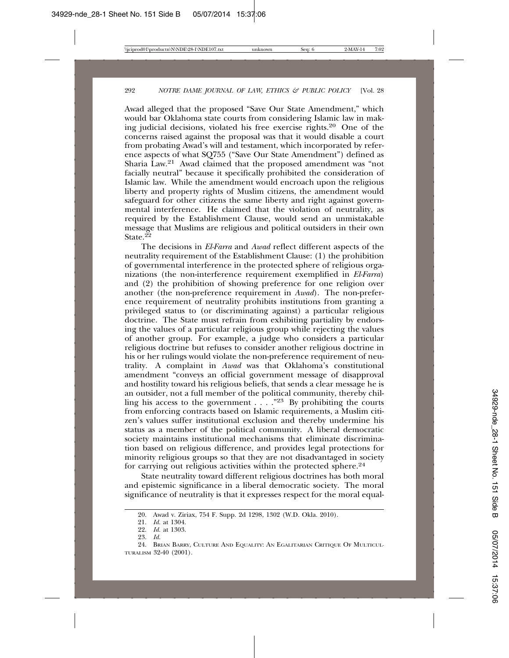Awad alleged that the proposed "Save Our State Amendment," which would bar Oklahoma state courts from considering Islamic law in making judicial decisions, violated his free exercise rights.20 One of the concerns raised against the proposal was that it would disable a court from probating Awad's will and testament, which incorporated by reference aspects of what SQ755 ("Save Our State Amendment") defined as Sharia Law.21 Awad claimed that the proposed amendment was "not facially neutral" because it specifically prohibited the consideration of Islamic law. While the amendment would encroach upon the religious liberty and property rights of Muslim citizens, the amendment would safeguard for other citizens the same liberty and right against governmental interference. He claimed that the violation of neutrality, as required by the Establishment Clause, would send an unmistakable message that Muslims are religious and political outsiders in their own State  $22$ 

The decisions in *El-Farra* and *Awad* reflect different aspects of the neutrality requirement of the Establishment Clause: (1) the prohibition of governmental interference in the protected sphere of religious organizations (the non-interference requirement exemplified in *El-Farra*) and (2) the prohibition of showing preference for one religion over another (the non-preference requirement in *Awad*). The non-preference requirement of neutrality prohibits institutions from granting a privileged status to (or discriminating against) a particular religious doctrine. The State must refrain from exhibiting partiality by endorsing the values of a particular religious group while rejecting the values of another group. For example, a judge who considers a particular religious doctrine but refuses to consider another religious doctrine in his or her rulings would violate the non-preference requirement of neutrality. A complaint in *Awad* was that Oklahoma's constitutional amendment "conveys an official government message of disapproval and hostility toward his religious beliefs, that sends a clear message he is an outsider, not a full member of the political community, thereby chilling his access to the government . . . ."23 By prohibiting the courts from enforcing contracts based on Islamic requirements, a Muslim citizen's values suffer institutional exclusion and thereby undermine his status as a member of the political community. A liberal democratic society maintains institutional mechanisms that eliminate discrimination based on religious difference, and provides legal protections for minority religious groups so that they are not disadvantaged in society for carrying out religious activities within the protected sphere.24

State neutrality toward different religious doctrines has both moral and epistemic significance in a liberal democratic society. The moral significance of neutrality is that it expresses respect for the moral equal-

<sup>20.</sup> Awad v. Ziriax, 754 F. Supp. 2d 1298, 1302 (W.D. Okla. 2010).

<sup>21.</sup> *Id.* at 1304.

<sup>22.</sup> *Id.* at 1303.

<sup>23.</sup> *Id.*

<sup>24.</sup> BRIAN BARRY, CULTURE AND EQUALITY: AN EGALITARIAN CRITIQUE OF MULTICUL-TURALISM 32-40 (2001).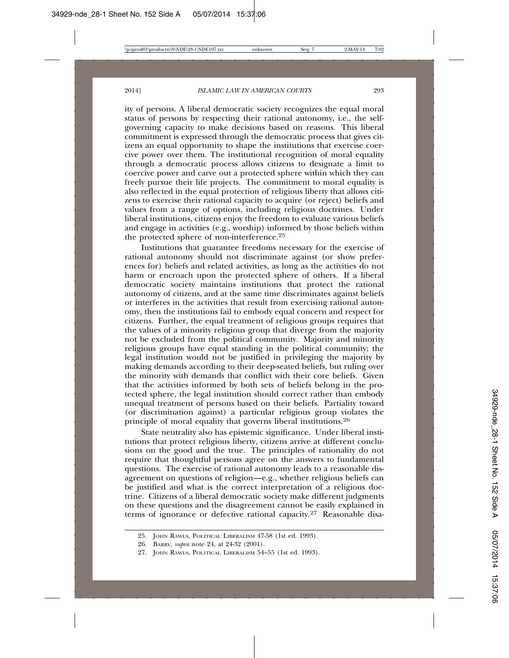ity of persons. A liberal democratic society recognizes the equal moral status of persons by respecting their rational autonomy, i.e., the selfgoverning capacity to make decisions based on reasons. This liberal commitment is expressed through the democratic process that gives citizens an equal opportunity to shape the institutions that exercise coercive power over them. The institutional recognition of moral equality through a democratic process allows citizens to designate a limit to coercive power and carve out a protected sphere within which they can freely pursue their life projects. The commitment to moral equality is also reflected in the equal protection of religious liberty that allows citizens to exercise their rational capacity to acquire (or reject) beliefs and values from a range of options, including religious doctrines. Under liberal institutions, citizens enjoy the freedom to evaluate various beliefs and engage in activities (e.g., worship) informed by those beliefs within the protected sphere of non-interference.25

Institutions that guarantee freedoms necessary for the exercise of rational autonomy should not discriminate against (or show preferences for) beliefs and related activities, as long as the activities do not harm or encroach upon the protected sphere of others. If a liberal democratic society maintains institutions that protect the rational autonomy of citizens, and at the same time discriminates against beliefs or interferes in the activities that result from exercising rational autonomy, then the institutions fail to embody equal concern and respect for citizens. Further, the equal treatment of religious groups requires that the values of a minority religious group that diverge from the majority not be excluded from the political community. Majority and minority religious groups have equal standing in the political community; the legal institution would not be justified in privileging the majority by making demands according to their deep-seated beliefs, but ruling over the minority with demands that conflict with their core beliefs. Given that the activities informed by both sets of beliefs belong in the protected sphere, the legal institution should correct rather than embody unequal treatment of persons based on their beliefs. Partiality toward (or discrimination against) a particular religious group violates the principle of moral equality that governs liberal institutions.26

State neutrality also has epistemic significance. Under liberal institutions that protect religious liberty, citizens arrive at different conclusions on the good and the true. The principles of rationality do not require that thoughtful persons agree on the answers to fundamental questions. The exercise of rational autonomy leads to a reasonable disagreement on questions of religion—e.g., whether religious beliefs can be justified and what is the correct interpretation of a religious doctrine. Citizens of a liberal democratic society make different judgments on these questions and the disagreement cannot be easily explained in terms of ignorance or defective rational capacity.27 Reasonable disa-

<sup>25.</sup> JOHN RAWLS, POLITICAL LIBERALISM 47-58 (1st ed. 1993).

<sup>26.</sup> BARRY, *supra* note 24, at 24-32 (2001).

<sup>27.</sup> JOHN RAWLS, POLITICAL LIBERALISM 54–55 (1st ed. 1993).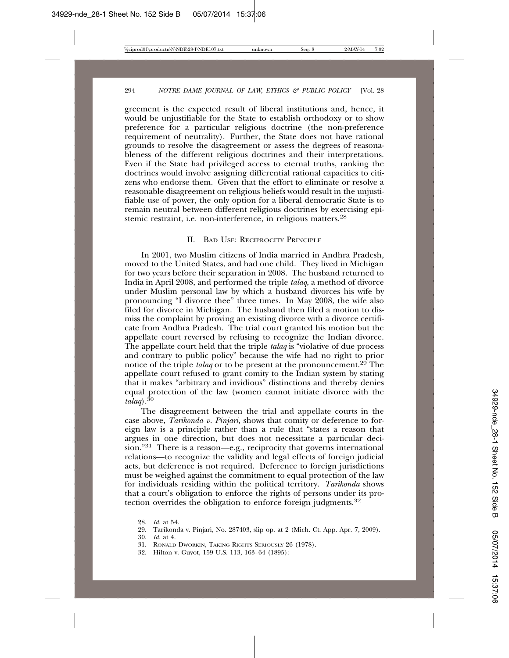greement is the expected result of liberal institutions and, hence, it would be unjustifiable for the State to establish orthodoxy or to show preference for a particular religious doctrine (the non-preference requirement of neutrality). Further, the State does not have rational grounds to resolve the disagreement or assess the degrees of reasonableness of the different religious doctrines and their interpretations. Even if the State had privileged access to eternal truths, ranking the doctrines would involve assigning differential rational capacities to citizens who endorse them. Given that the effort to eliminate or resolve a reasonable disagreement on religious beliefs would result in the unjustifiable use of power, the only option for a liberal democratic State is to remain neutral between different religious doctrines by exercising epistemic restraint, i.e. non-interference, in religious matters.28

#### II. BAD USE: RECIPROCITY PRINCIPLE

In 2001, two Muslim citizens of India married in Andhra Pradesh, moved to the United States, and had one child. They lived in Michigan for two years before their separation in 2008. The husband returned to India in April 2008, and performed the triple *talaq*, a method of divorce under Muslim personal law by which a husband divorces his wife by pronouncing "I divorce thee" three times. In May 2008, the wife also filed for divorce in Michigan. The husband then filed a motion to dismiss the complaint by proving an existing divorce with a divorce certificate from Andhra Pradesh. The trial court granted his motion but the appellate court reversed by refusing to recognize the Indian divorce. The appellate court held that the triple *talaq* is "violative of due process and contrary to public policy" because the wife had no right to prior notice of the triple *talaq* or to be present at the pronouncement.29 The appellate court refused to grant comity to the Indian system by stating that it makes "arbitrary and invidious" distinctions and thereby denies equal protection of the law (women cannot initiate divorce with the *talaq*).<sup>30</sup>

The disagreement between the trial and appellate courts in the case above, *Tarikonda v. Pinjari,* shows that comity or deference to foreign law is a principle rather than a rule that "states a reason that argues in one direction, but does not necessitate a particular decision."31 There is a reason—e.g., reciprocity that governs international relations—to recognize the validity and legal effects of foreign judicial acts, but deference is not required. Deference to foreign jurisdictions must be weighed against the commitment to equal protection of the law for individuals residing within the political territory. *Tarikonda* shows that a court's obligation to enforce the rights of persons under its protection overrides the obligation to enforce foreign judgments.32

<sup>28.</sup> *Id.* at 54.

<sup>29.</sup> Tarikonda v. Pinjari, No. 287403, slip op. at 2 (Mich. Ct. App. Apr. 7, 2009).

<sup>30.</sup> *Id.* at 4.

<sup>31.</sup> RONALD DWORKIN, TAKING RIGHTS SERIOUSLY 26 (1978).

<sup>32.</sup> Hilton v. Guyot, 159 U.S. 113, 163–64 (1895):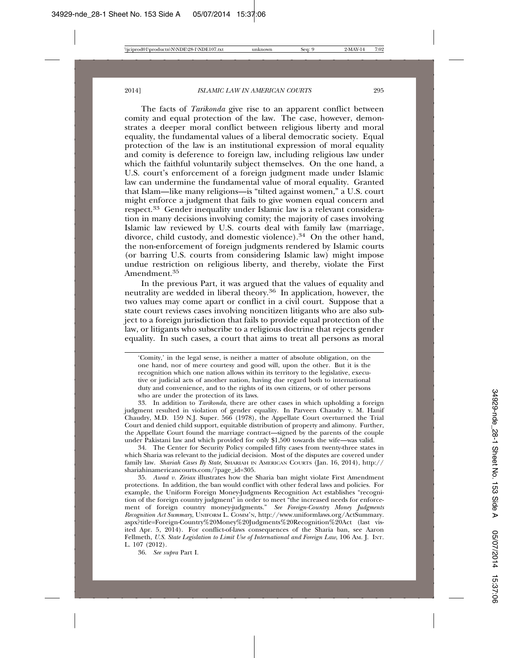The facts of *Tarikonda* give rise to an apparent conflict between comity and equal protection of the law. The case, however, demonstrates a deeper moral conflict between religious liberty and moral equality, the fundamental values of a liberal democratic society. Equal protection of the law is an institutional expression of moral equality and comity is deference to foreign law, including religious law under which the faithful voluntarily subject themselves. On the one hand, a U.S. court's enforcement of a foreign judgment made under Islamic law can undermine the fundamental value of moral equality. Granted that Islam—like many religions—is "tilted against women," a U.S. court might enforce a judgment that fails to give women equal concern and respect.33 Gender inequality under Islamic law is a relevant consideration in many decisions involving comity; the majority of cases involving Islamic law reviewed by U.S. courts deal with family law (marriage, divorce, child custody, and domestic violence).<sup>34</sup> On the other hand, the non-enforcement of foreign judgments rendered by Islamic courts (or barring U.S. courts from considering Islamic law) might impose undue restriction on religious liberty, and thereby, violate the First Amendment.<sup>35</sup>

In the previous Part, it was argued that the values of equality and neutrality are wedded in liberal theory.36 In application, however, the two values may come apart or conflict in a civil court. Suppose that a state court reviews cases involving noncitizen litigants who are also subject to a foreign jurisdiction that fails to provide equal protection of the law, or litigants who subscribe to a religious doctrine that rejects gender equality. In such cases, a court that aims to treat all persons as moral

'Comity,' in the legal sense, is neither a matter of absolute obligation, on the one hand, nor of mere courtesy and good will, upon the other. But it is the recognition which one nation allows within its territory to the legislative, executive or judicial acts of another nation, having due regard both to international duty and convenience, and to the rights of its own citizens, or of other persons who are under the protection of its laws.

33. In addition to *Tarikonda*, there are other cases in which upholding a foreign judgment resulted in violation of gender equality. In Parveen Chaudry v. M. Hanif Chaudry, M.D. 159 N.J. Super. 566 (1978), the Appellate Court overturned the Trial Court and denied child support, equitable distribution of property and alimony. Further, the Appellate Court found the marriage contract—signed by the parents of the couple under Pakistani law and which provided for only \$1,500 towards the wife—was valid.

34. The Center for Security Policy compiled fifty cases from twenty-three states in which Sharia was relevant to the judicial decision. Most of the disputes are covered under family law. *Shariah Cases By State*, SHARIAH IN AMERICAN COURTS (Jan. 16, 2014), http:// shariahinamericancourts.com/?page\_id=305.

35. *Awad v. Ziriax* illustrates how the Sharia ban might violate First Amendment protections. In addition, the ban would conflict with other federal laws and policies. For example, the Uniform Foreign Money-Judgments Recognition Act establishes "recognition of the foreign country judgment" in order to meet "the increased needs for enforcement of foreign country money-judgments." *See Foreign-Country Money Judgments Recognition Act Summary*, UNIFORM L. COMM'N, http://www.uniformlaws.org/ActSummary. aspx?title=Foreign-Country%20Money%20Judgments%20Recognition%20Act (last visited Apr. 5, 2014). For conflict-of-laws consequences of the Sharia ban, see Aaron Fellmeth, *U.S. State Legislation to Limit Use of International and Foreign Law*, 106 AM. J. INT. L. 107 (2012).

36. *See supra* Part I.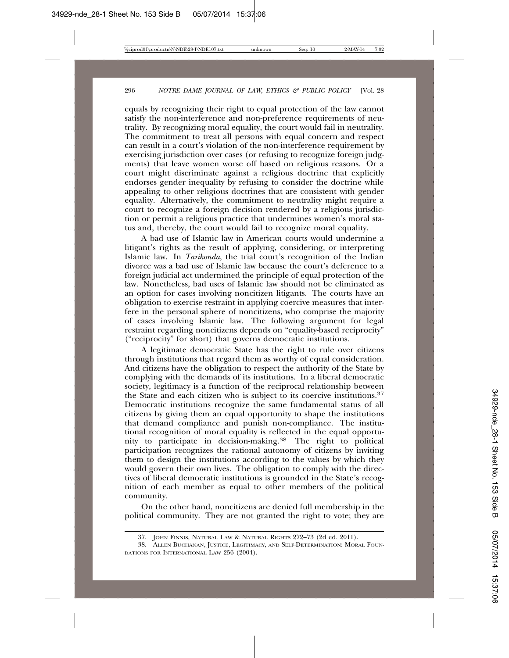equals by recognizing their right to equal protection of the law cannot satisfy the non-interference and non-preference requirements of neutrality. By recognizing moral equality, the court would fail in neutrality. The commitment to treat all persons with equal concern and respect can result in a court's violation of the non-interference requirement by exercising jurisdiction over cases (or refusing to recognize foreign judgments) that leave women worse off based on religious reasons. Or a court might discriminate against a religious doctrine that explicitly endorses gender inequality by refusing to consider the doctrine while appealing to other religious doctrines that are consistent with gender equality. Alternatively, the commitment to neutrality might require a court to recognize a foreign decision rendered by a religious jurisdiction or permit a religious practice that undermines women's moral status and, thereby, the court would fail to recognize moral equality.

A bad use of Islamic law in American courts would undermine a litigant's rights as the result of applying, considering, or interpreting Islamic law. In *Tarikonda*, the trial court's recognition of the Indian divorce was a bad use of Islamic law because the court's deference to a foreign judicial act undermined the principle of equal protection of the law. Nonetheless, bad uses of Islamic law should not be eliminated as an option for cases involving noncitizen litigants. The courts have an obligation to exercise restraint in applying coercive measures that interfere in the personal sphere of noncitizens, who comprise the majority of cases involving Islamic law. The following argument for legal restraint regarding noncitizens depends on "equality-based reciprocity" ("reciprocity" for short) that governs democratic institutions.

A legitimate democratic State has the right to rule over citizens through institutions that regard them as worthy of equal consideration. And citizens have the obligation to respect the authority of the State by complying with the demands of its institutions. In a liberal democratic society, legitimacy is a function of the reciprocal relationship between the State and each citizen who is subject to its coercive institutions.37 Democratic institutions recognize the same fundamental status of all citizens by giving them an equal opportunity to shape the institutions that demand compliance and punish non-compliance. The institutional recognition of moral equality is reflected in the equal opportunity to participate in decision-making.38 The right to political participation recognizes the rational autonomy of citizens by inviting them to design the institutions according to the values by which they would govern their own lives. The obligation to comply with the directives of liberal democratic institutions is grounded in the State's recognition of each member as equal to other members of the political community.

On the other hand, noncitizens are denied full membership in the political community. They are not granted the right to vote; they are

<sup>37.</sup> JOHN FINNIS, NATURAL LAW & NATURAL RIGHTS 272–73 (2d ed. 2011).

<sup>38.</sup> ALLEN BUCHANAN, JUSTICE, LEGITIMACY, AND SELF-DETERMINATION: MORAL FOUN-DATIONS FOR INTERNATIONAL LAW 256 (2004).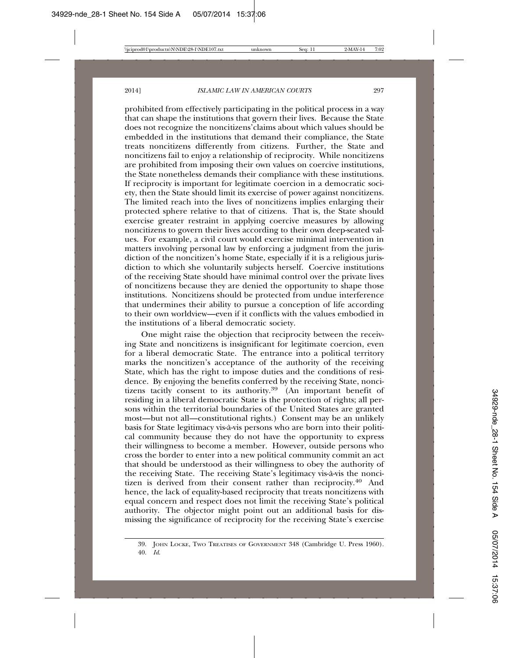prohibited from effectively participating in the political process in a way that can shape the institutions that govern their lives. Because the State does not recognize the noncitizens'claims about which values should be embedded in the institutions that demand their compliance, the State treats noncitizens differently from citizens. Further, the State and noncitizens fail to enjoy a relationship of reciprocity. While noncitizens are prohibited from imposing their own values on coercive institutions, the State nonetheless demands their compliance with these institutions. If reciprocity is important for legitimate coercion in a democratic society, then the State should limit its exercise of power against noncitizens. The limited reach into the lives of noncitizens implies enlarging their protected sphere relative to that of citizens. That is, the State should exercise greater restraint in applying coercive measures by allowing noncitizens to govern their lives according to their own deep-seated values. For example, a civil court would exercise minimal intervention in matters involving personal law by enforcing a judgment from the jurisdiction of the noncitizen's home State, especially if it is a religious jurisdiction to which she voluntarily subjects herself. Coercive institutions of the receiving State should have minimal control over the private lives of noncitizens because they are denied the opportunity to shape those institutions. Noncitizens should be protected from undue interference that undermines their ability to pursue a conception of life according to their own worldview—even if it conflicts with the values embodied in the institutions of a liberal democratic society.

One might raise the objection that reciprocity between the receiving State and noncitizens is insignificant for legitimate coercion, even for a liberal democratic State. The entrance into a political territory marks the noncitizen's acceptance of the authority of the receiving State, which has the right to impose duties and the conditions of residence. By enjoying the benefits conferred by the receiving State, noncitizens tacitly consent to its authority.39 (An important benefit of residing in a liberal democratic State is the protection of rights; all persons within the territorial boundaries of the United States are granted most—but not all—constitutional rights.) Consent may be an unlikely basis for State legitimacy vis-à-vis persons who are born into their political community because they do not have the opportunity to express their willingness to become a member. However, outside persons who cross the border to enter into a new political community commit an act that should be understood as their willingness to obey the authority of the receiving State. The receiving State's legitimacy vis-à-vis the noncitizen is derived from their consent rather than reciprocity.40 And hence, the lack of equality-based reciprocity that treats noncitizens with equal concern and respect does not limit the receiving State's political authority. The objector might point out an additional basis for dismissing the significance of reciprocity for the receiving State's exercise

<sup>39.</sup> JOHN LOCKE, TWO TREATISES OF GOVERNMENT 348 (Cambridge U. Press 1960). 40. *Id*.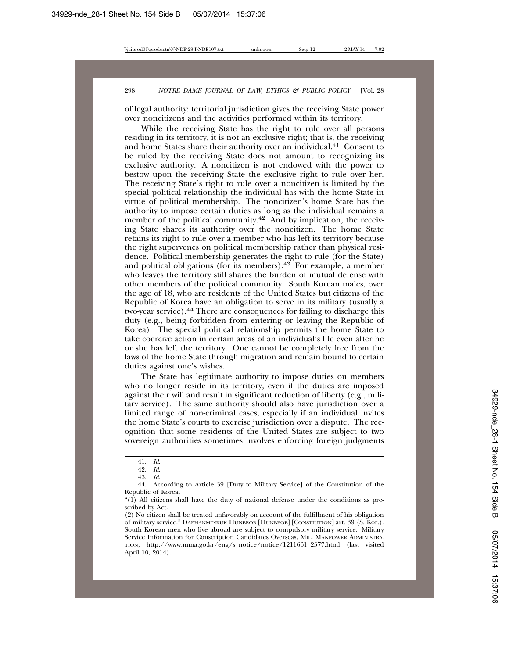of legal authority: territorial jurisdiction gives the receiving State power over noncitizens and the activities performed within its territory.

While the receiving State has the right to rule over all persons residing in its territory, it is not an exclusive right; that is, the receiving and home States share their authority over an individual.41 Consent to be ruled by the receiving State does not amount to recognizing its exclusive authority. A noncitizen is not endowed with the power to bestow upon the receiving State the exclusive right to rule over her. The receiving State's right to rule over a noncitizen is limited by the special political relationship the individual has with the home State in virtue of political membership. The noncitizen's home State has the authority to impose certain duties as long as the individual remains a member of the political community.<sup>42</sup> And by implication, the receiving State shares its authority over the noncitizen. The home State retains its right to rule over a member who has left its territory because the right supervenes on political membership rather than physical residence. Political membership generates the right to rule (for the State) and political obligations (for its members). $43$  For example, a member who leaves the territory still shares the burden of mutual defense with other members of the political community. South Korean males, over the age of 18, who are residents of the United States but citizens of the Republic of Korea have an obligation to serve in its military (usually a two-year service).44 There are consequences for failing to discharge this duty (e.g., being forbidden from entering or leaving the Republic of Korea). The special political relationship permits the home State to take coercive action in certain areas of an individual's life even after he or she has left the territory. One cannot be completely free from the laws of the home State through migration and remain bound to certain duties against one's wishes.

The State has legitimate authority to impose duties on members who no longer reside in its territory, even if the duties are imposed against their will and result in significant reduction of liberty (e.g., military service). The same authority should also have jurisdiction over a limited range of non-criminal cases, especially if an individual invites the home State's courts to exercise jurisdiction over a dispute. The recognition that some residents of the United States are subject to two sovereign authorities sometimes involves enforcing foreign judgments

<sup>41.</sup> *Id*.

<sup>42.</sup> *Id*.

<sup>43.</sup> *Id*.

<sup>44.</sup> According to Article 39 [Duty to Military Service] of the Constitution of the Republic of Korea,

<sup>&</sup>quot;(1) All citizens shall have the duty of national defense under the conditions as prescribed by Act.

<sup>(2)</sup> No citizen shall be treated unfavorably on account of the fulfillment of his obligation of military service." DAEHANMINKUK HUNBEOB [HUNBEOB] [CONSTIUTION] art. 39 (S. Kor.). South Korean men who live abroad are subject to compulsory military service. Military Service Information for Conscription Candidates Overseas, MIL. MANPOWER ADMINISTRA-TION, http://www.mma.go.kr/eng/s\_notice/notice/1211661\_2577.html (last visited April 10, 2014).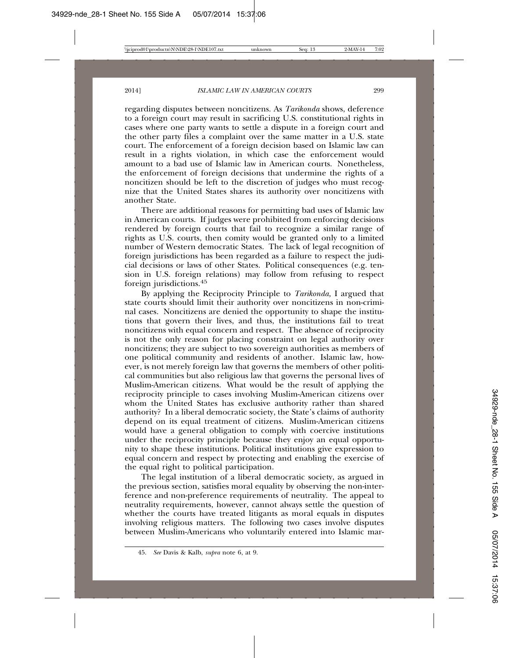regarding disputes between noncitizens. As *Tarikonda* shows, deference to a foreign court may result in sacrificing U.S. constitutional rights in cases where one party wants to settle a dispute in a foreign court and the other party files a complaint over the same matter in a U.S. state court. The enforcement of a foreign decision based on Islamic law can result in a rights violation, in which case the enforcement would amount to a bad use of Islamic law in American courts. Nonetheless, the enforcement of foreign decisions that undermine the rights of a noncitizen should be left to the discretion of judges who must recognize that the United States shares its authority over noncitizens with another State.

There are additional reasons for permitting bad uses of Islamic law in American courts. If judges were prohibited from enforcing decisions rendered by foreign courts that fail to recognize a similar range of rights as U.S. courts, then comity would be granted only to a limited number of Western democratic States. The lack of legal recognition of foreign jurisdictions has been regarded as a failure to respect the judicial decisions or laws of other States. Political consequences (e.g. tension in U.S. foreign relations) may follow from refusing to respect foreign jurisdictions.45

By applying the Reciprocity Principle to *Tarikonda,* I argued that state courts should limit their authority over noncitizens in non-criminal cases. Noncitizens are denied the opportunity to shape the institutions that govern their lives, and thus, the institutions fail to treat noncitizens with equal concern and respect. The absence of reciprocity is not the only reason for placing constraint on legal authority over noncitizens; they are subject to two sovereign authorities as members of one political community and residents of another. Islamic law, however, is not merely foreign law that governs the members of other political communities but also religious law that governs the personal lives of Muslim-American citizens. What would be the result of applying the reciprocity principle to cases involving Muslim-American citizens over whom the United States has exclusive authority rather than shared authority? In a liberal democratic society, the State's claims of authority depend on its equal treatment of citizens. Muslim-American citizens would have a general obligation to comply with coercive institutions under the reciprocity principle because they enjoy an equal opportunity to shape these institutions. Political institutions give expression to equal concern and respect by protecting and enabling the exercise of the equal right to political participation.

The legal institution of a liberal democratic society, as argued in the previous section, satisfies moral equality by observing the non-interference and non-preference requirements of neutrality. The appeal to neutrality requirements, however, cannot always settle the question of whether the courts have treated litigants as moral equals in disputes involving religious matters. The following two cases involve disputes between Muslim-Americans who voluntarily entered into Islamic mar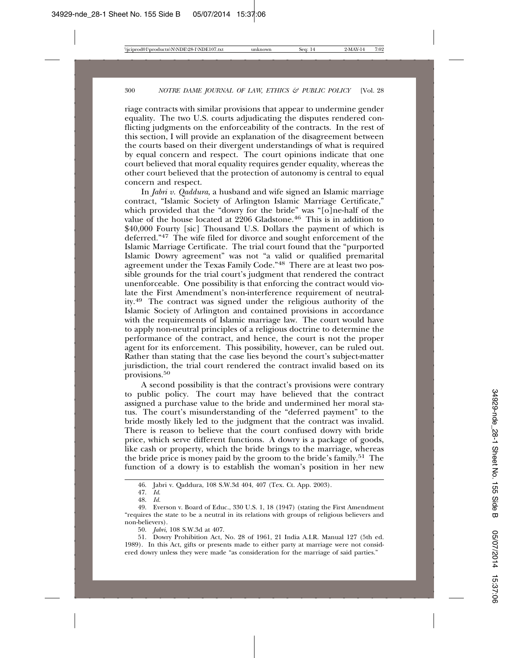riage contracts with similar provisions that appear to undermine gender equality. The two U.S. courts adjudicating the disputes rendered conflicting judgments on the enforceability of the contracts. In the rest of this section, I will provide an explanation of the disagreement between the courts based on their divergent understandings of what is required by equal concern and respect. The court opinions indicate that one court believed that moral equality requires gender equality, whereas the other court believed that the protection of autonomy is central to equal concern and respect.

In *Jabri v. Qaddura*, a husband and wife signed an Islamic marriage contract, "Islamic Society of Arlington Islamic Marriage Certificate," which provided that the "dowry for the bride" was "[o]ne-half of the value of the house located at  $2206$  Gladstone.<sup>46</sup> This is in addition to \$40,000 Fourty [sic] Thousand U.S. Dollars the payment of which is deferred."47 The wife filed for divorce and sought enforcement of the Islamic Marriage Certificate. The trial court found that the "purported Islamic Dowry agreement" was not "a valid or qualified premarital agreement under the Texas Family Code."48 There are at least two possible grounds for the trial court's judgment that rendered the contract unenforceable. One possibility is that enforcing the contract would violate the First Amendment's non-interference requirement of neutrality.49 The contract was signed under the religious authority of the Islamic Society of Arlington and contained provisions in accordance with the requirements of Islamic marriage law. The court would have to apply non-neutral principles of a religious doctrine to determine the performance of the contract, and hence, the court is not the proper agent for its enforcement. This possibility, however, can be ruled out. Rather than stating that the case lies beyond the court's subject-matter jurisdiction, the trial court rendered the contract invalid based on its provisions.<sup>50</sup>

A second possibility is that the contract's provisions were contrary to public policy. The court may have believed that the contract assigned a purchase value to the bride and undermined her moral status. The court's misunderstanding of the "deferred payment" to the bride mostly likely led to the judgment that the contract was invalid. There is reason to believe that the court confused dowry with bride price, which serve different functions. A dowry is a package of goods, like cash or property, which the bride brings to the marriage, whereas the bride price is money paid by the groom to the bride's family.51 The function of a dowry is to establish the woman's position in her new

50. *Jabri*, 108 S.W.3d at 407.

51. Dowry Prohibition Act, No. 28 of 1961, 21 India A.I.R. Manual 127 (5th ed. 1989). In this Act, gifts or presents made to either party at marriage were not considered dowry unless they were made "as consideration for the marriage of said parties."

<sup>46.</sup> Jabri v. Qaddura, 108 S.W.3d 404, 407 (Tex. Ct. App. 2003).

<sup>47.</sup> *Id*.

<sup>48.</sup> *Id.*

<sup>49.</sup> Everson v. Board of Educ., 330 U.S. 1, 18 (1947) (stating the First Amendment "requires the state to be a neutral in its relations with groups of religious believers and non-believers).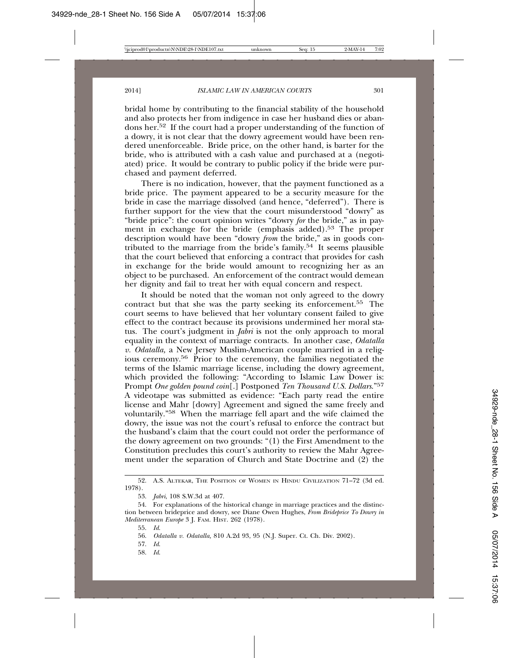bridal home by contributing to the financial stability of the household and also protects her from indigence in case her husband dies or abandons her.52 If the court had a proper understanding of the function of a dowry, it is not clear that the dowry agreement would have been rendered unenforceable. Bride price, on the other hand, is barter for the bride, who is attributed with a cash value and purchased at a (negotiated) price. It would be contrary to public policy if the bride were purchased and payment deferred.

There is no indication, however, that the payment functioned as a bride price. The payment appeared to be a security measure for the bride in case the marriage dissolved (and hence, "deferred"). There is further support for the view that the court misunderstood "dowry" as "bride price": the court opinion writes "dowry *for* the bride," as in payment in exchange for the bride (emphasis added).<sup>53</sup> The proper description would have been "dowry *from* the bride," as in goods contributed to the marriage from the bride's family.<sup>54</sup> It seems plausible that the court believed that enforcing a contract that provides for cash in exchange for the bride would amount to recognizing her as an object to be purchased. An enforcement of the contract would demean her dignity and fail to treat her with equal concern and respect.

It should be noted that the woman not only agreed to the dowry contract but that she was the party seeking its enforcement.55 The court seems to have believed that her voluntary consent failed to give effect to the contract because its provisions undermined her moral status. The court's judgment in *Jabri* is not the only approach to moral equality in the context of marriage contracts. In another case, *Odatalla v. Odatalla,* a New Jersey Muslim-American couple married in a religious ceremony.56 Prior to the ceremony, the families negotiated the terms of the Islamic marriage license, including the dowry agreement, which provided the following: "According to Islamic Law Dower is: Prompt *One golden pound coin*[.] Postponed *Ten Thousand U.S. Dollars*."57 A videotape was submitted as evidence: "Each party read the entire license and Mahr [dowry] Agreement and signed the same freely and voluntarily."58 When the marriage fell apart and the wife claimed the dowry, the issue was not the court's refusal to enforce the contract but the husband's claim that the court could not order the performance of the dowry agreement on two grounds: "(1) the First Amendment to the Constitution precludes this court's authority to review the Mahr Agreement under the separation of Church and State Doctrine and (2) the

<sup>52.</sup> A.S. ALTEKAR, THE POSITION OF WOMEN IN HINDU CIVILIZATION 71–72 (3d ed. 1978).

<sup>53.</sup> *Jabri*, 108 S.W.3d at 407.

<sup>54.</sup> For explanations of the historical change in marriage practices and the distinction between brideprice and dowry, see Diane Owen Hughes, *From Brideprice To Dowry in Mediterranean Europe* 3 J. FAM. HIST. 262 (1978).

<sup>55.</sup> *Id*.

<sup>56.</sup> *Odatalla v. Odatalla,* 810 A.2d 93, 95 (N.J. Super. Ct. Ch. Div. 2002).

<sup>57.</sup> *Id*.

<sup>58.</sup> *Id*.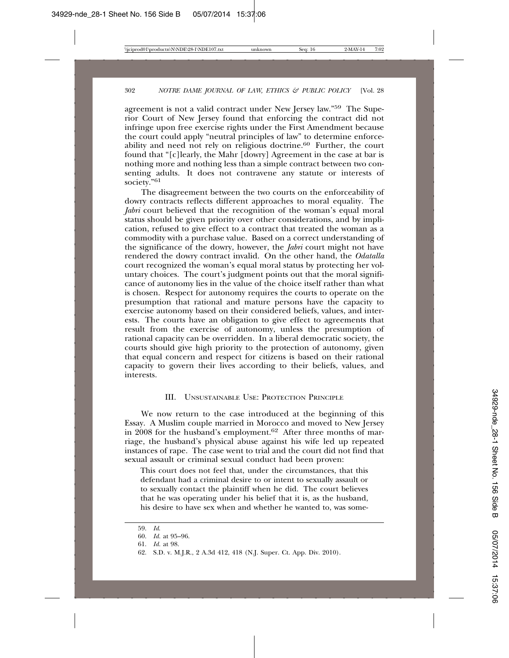agreement is not a valid contract under New Jersey law."59 The Superior Court of New Jersey found that enforcing the contract did not infringe upon free exercise rights under the First Amendment because the court could apply "neutral principles of law" to determine enforceability and need not rely on religious doctrine.60 Further, the court found that "[c]learly, the Mahr [dowry] Agreement in the case at bar is nothing more and nothing less than a simple contract between two consenting adults. It does not contravene any statute or interests of society."<sup>61</sup>

The disagreement between the two courts on the enforceability of dowry contracts reflects different approaches to moral equality. The *Jabri* court believed that the recognition of the woman's equal moral status should be given priority over other considerations, and by implication, refused to give effect to a contract that treated the woman as a commodity with a purchase value. Based on a correct understanding of the significance of the dowry, however, the *Jabri* court might not have rendered the dowry contract invalid. On the other hand, the *Odatalla* court recognized the woman's equal moral status by protecting her voluntary choices. The court's judgment points out that the moral significance of autonomy lies in the value of the choice itself rather than what is chosen. Respect for autonomy requires the courts to operate on the presumption that rational and mature persons have the capacity to exercise autonomy based on their considered beliefs, values, and interests. The courts have an obligation to give effect to agreements that result from the exercise of autonomy, unless the presumption of rational capacity can be overridden. In a liberal democratic society, the courts should give high priority to the protection of autonomy, given that equal concern and respect for citizens is based on their rational capacity to govern their lives according to their beliefs, values, and interests.

#### III. UNSUSTAINABLE USE: PROTECTION PRINCIPLE

We now return to the case introduced at the beginning of this Essay. A Muslim couple married in Morocco and moved to New Jersey in 2008 for the husband's employment.62 After three months of marriage, the husband's physical abuse against his wife led up repeated instances of rape. The case went to trial and the court did not find that sexual assault or criminal sexual conduct had been proven:

This court does not feel that, under the circumstances, that this defendant had a criminal desire to or intent to sexually assault or to sexually contact the plaintiff when he did. The court believes that he was operating under his belief that it is, as the husband, his desire to have sex when and whether he wanted to, was some-

<sup>59.</sup> *Id*.

<sup>60.</sup> *Id.* at 95–96.

<sup>61.</sup> *Id.* at 98.

<sup>62.</sup> S.D. v. M.J.R., 2 A.3d 412, 418 (N.J. Super. Ct. App. Div. 2010).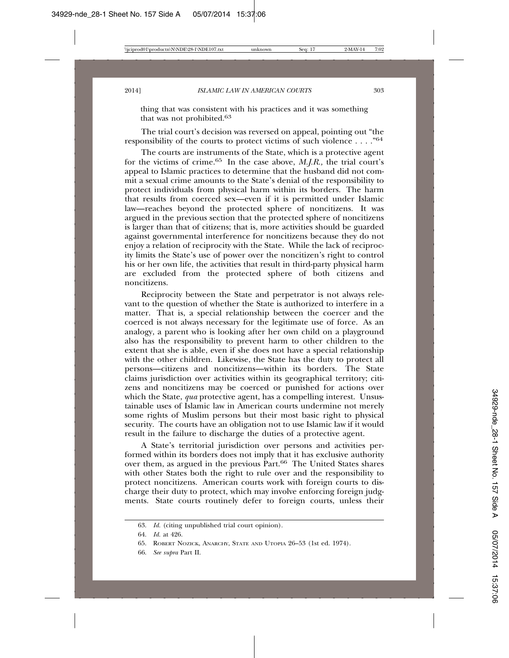thing that was consistent with his practices and it was something that was not prohibited.63

The trial court's decision was reversed on appeal, pointing out "the responsibility of the courts to protect victims of such violence . . . ."64

The courts are instruments of the State, which is a protective agent for the victims of crime.65 In the case above, *M.J.R.,* the trial court's appeal to Islamic practices to determine that the husband did not commit a sexual crime amounts to the State's denial of the responsibility to protect individuals from physical harm within its borders. The harm that results from coerced sex—even if it is permitted under Islamic law—reaches beyond the protected sphere of noncitizens. It was argued in the previous section that the protected sphere of noncitizens is larger than that of citizens; that is, more activities should be guarded against governmental interference for noncitizens because they do not enjoy a relation of reciprocity with the State. While the lack of reciprocity limits the State's use of power over the noncitizen's right to control his or her own life, the activities that result in third-party physical harm are excluded from the protected sphere of both citizens and noncitizens.

Reciprocity between the State and perpetrator is not always relevant to the question of whether the State is authorized to interfere in a matter. That is, a special relationship between the coercer and the coerced is not always necessary for the legitimate use of force. As an analogy, a parent who is looking after her own child on a playground also has the responsibility to prevent harm to other children to the extent that she is able, even if she does not have a special relationship with the other children. Likewise, the State has the duty to protect all persons—citizens and noncitizens—within its borders. The State claims jurisdiction over activities within its geographical territory; citizens and noncitizens may be coerced or punished for actions over which the State, *qua* protective agent, has a compelling interest. Unsustainable uses of Islamic law in American courts undermine not merely some rights of Muslim persons but their most basic right to physical security. The courts have an obligation not to use Islamic law if it would result in the failure to discharge the duties of a protective agent.

A State's territorial jurisdiction over persons and activities performed within its borders does not imply that it has exclusive authority over them, as argued in the previous Part.<sup>66</sup> The United States shares with other States both the right to rule over and the responsibility to protect noncitizens. American courts work with foreign courts to discharge their duty to protect, which may involve enforcing foreign judgments. State courts routinely defer to foreign courts, unless their

<sup>63.</sup> *Id.* (citing unpublished trial court opinion).

<sup>64.</sup> *Id.* at 426.

<sup>65.</sup> ROBERT NOZICK, ANARCHY, STATE AND UTOPIA 26–53 (1st ed. 1974).

<sup>66.</sup> *See supra* Part II.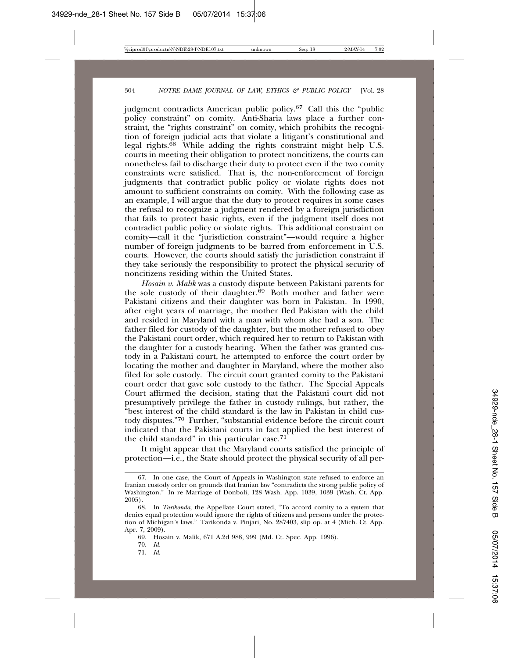judgment contradicts American public policy.67 Call this the "public policy constraint" on comity. Anti-Sharia laws place a further constraint, the "rights constraint" on comity, which prohibits the recognition of foreign judicial acts that violate a litigant's constitutional and legal rights.68 While adding the rights constraint might help U.S. courts in meeting their obligation to protect noncitizens, the courts can nonetheless fail to discharge their duty to protect even if the two comity constraints were satisfied. That is, the non-enforcement of foreign judgments that contradict public policy or violate rights does not amount to sufficient constraints on comity. With the following case as an example, I will argue that the duty to protect requires in some cases the refusal to recognize a judgment rendered by a foreign jurisdiction that fails to protect basic rights, even if the judgment itself does not contradict public policy or violate rights. This additional constraint on comity—call it the "jurisdiction constraint"—would require a higher number of foreign judgments to be barred from enforcement in U.S. courts. However, the courts should satisfy the jurisdiction constraint if they take seriously the responsibility to protect the physical security of noncitizens residing within the United States.

*Hosain v. Malik* was a custody dispute between Pakistani parents for the sole custody of their daughter.<sup>69</sup> Both mother and father were Pakistani citizens and their daughter was born in Pakistan. In 1990, after eight years of marriage, the mother fled Pakistan with the child and resided in Maryland with a man with whom she had a son. The father filed for custody of the daughter, but the mother refused to obey the Pakistani court order, which required her to return to Pakistan with the daughter for a custody hearing. When the father was granted custody in a Pakistani court, he attempted to enforce the court order by locating the mother and daughter in Maryland, where the mother also filed for sole custody. The circuit court granted comity to the Pakistani court order that gave sole custody to the father. The Special Appeals Court affirmed the decision, stating that the Pakistani court did not presumptively privilege the father in custody rulings, but rather, the "best interest of the child standard is the law in Pakistan in child custody disputes."70 Further, "substantial evidence before the circuit court indicated that the Pakistani courts in fact applied the best interest of the child standard" in this particular case.71

It might appear that the Maryland courts satisfied the principle of protection—i.e., the State should protect the physical security of all per-

<sup>67.</sup> In one case, the Court of Appeals in Washington state refused to enforce an Iranian custody order on grounds that Iranian law "contradicts the strong public policy of Washington." In re Marriage of Donboli, 128 Wash. App. 1039, 1039 (Wash. Ct. App. 2005).

<sup>68.</sup> In *Tarikonda*, the Appellate Court stated, "To accord comity to a system that denies equal protection would ignore the rights of citizens and persons under the protection of Michigan's laws." Tarikonda v. Pinjari, No. 287403, slip op. at 4 (Mich. Ct. App. Apr. 7, 2009).

<sup>69.</sup> Hosain v. Malik, 671 A.2d 988, 999 (Md. Ct. Spec. App. 1996).

<sup>70.</sup> *Id.*

<sup>71.</sup> *Id*.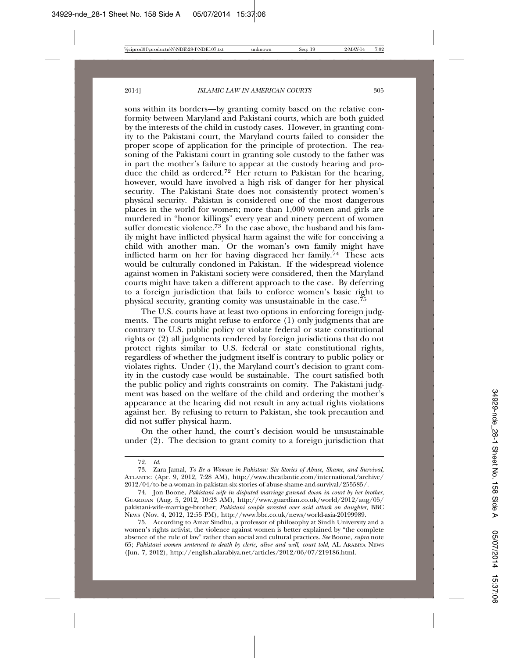sons within its borders—by granting comity based on the relative conformity between Maryland and Pakistani courts, which are both guided by the interests of the child in custody cases. However, in granting comity to the Pakistani court, the Maryland courts failed to consider the proper scope of application for the principle of protection. The reasoning of the Pakistani court in granting sole custody to the father was in part the mother's failure to appear at the custody hearing and produce the child as ordered.<sup>72</sup> Her return to Pakistan for the hearing, however, would have involved a high risk of danger for her physical security. The Pakistani State does not consistently protect women's physical security. Pakistan is considered one of the most dangerous places in the world for women; more than 1,000 women and girls are murdered in "honor killings" every year and ninety percent of women suffer domestic violence.<sup>73</sup> In the case above, the husband and his family might have inflicted physical harm against the wife for conceiving a child with another man. Or the woman's own family might have inflicted harm on her for having disgraced her family.<sup> $74$ </sup> These acts would be culturally condoned in Pakistan. If the widespread violence against women in Pakistani society were considered, then the Maryland courts might have taken a different approach to the case. By deferring to a foreign jurisdiction that fails to enforce women's basic right to physical security, granting comity was unsustainable in the case.<sup>75</sup>

The U.S. courts have at least two options in enforcing foreign judgments. The courts might refuse to enforce (1) only judgments that are contrary to U.S. public policy or violate federal or state constitutional rights or (2) all judgments rendered by foreign jurisdictions that do not protect rights similar to U.S. federal or state constitutional rights, regardless of whether the judgment itself is contrary to public policy or violates rights. Under (1), the Maryland court's decision to grant comity in the custody case would be sustainable. The court satisfied both the public policy and rights constraints on comity. The Pakistani judgment was based on the welfare of the child and ordering the mother's appearance at the hearing did not result in any actual rights violations against her. By refusing to return to Pakistan, she took precaution and did not suffer physical harm.

On the other hand, the court's decision would be unsustainable under (2). The decision to grant comity to a foreign jurisdiction that

<sup>72.</sup> *Id*.

<sup>73.</sup> Zara Jamal, *To Be a Woman in Pakistan: Six Stories of Abuse, Shame, and Survival*, ATLANTIC (Apr. 9, 2012, 7:28 AM), http://www.theatlantic.com/international/archive/ 2012/04/to-be-a-woman-in-pakistan-six-stories-of-abuse-shame-and-survival/255585/.

<sup>74.</sup> Jon Boone, *Pakistani wife in disputed marriage gunned down in court by her brother*, GUARDIAN (Aug. 5, 2012, 10:23 AM), http://www.guardian.co.uk/world/2012/aug/05/ pakistani-wife-marriage-brother; *Pakistani couple arrested over acid attack on daughter*, BBC NEWS (Nov. 4, 2012, 12:55 PM), http://www.bbc.co.uk/news/world-asia-20199989.

<sup>75.</sup> According to Amar Sindhu, a professor of philosophy at Sindh University and a women's rights activist, the violence against women is better explained by "the complete absence of the rule of law" rather than social and cultural practices. *See* Boone, *supra* note 65; *Pakistani women sentenced to death by cleric, alive and well, court told*, AL ARABIYA NEWS (Jun. 7, 2012), http://english.alarabiya.net/articles/2012/06/07/219186.html.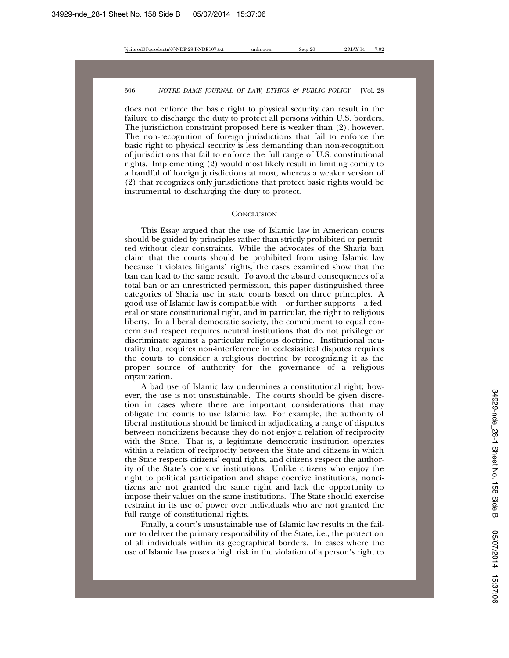does not enforce the basic right to physical security can result in the failure to discharge the duty to protect all persons within U.S. borders. The jurisdiction constraint proposed here is weaker than (2), however. The non-recognition of foreign jurisdictions that fail to enforce the basic right to physical security is less demanding than non-recognition of jurisdictions that fail to enforce the full range of U.S. constitutional rights. Implementing (2) would most likely result in limiting comity to a handful of foreign jurisdictions at most, whereas a weaker version of (2) that recognizes only jurisdictions that protect basic rights would be instrumental to discharging the duty to protect.

#### **CONCLUSION**

This Essay argued that the use of Islamic law in American courts should be guided by principles rather than strictly prohibited or permitted without clear constraints. While the advocates of the Sharia ban claim that the courts should be prohibited from using Islamic law because it violates litigants' rights, the cases examined show that the ban can lead to the same result. To avoid the absurd consequences of a total ban or an unrestricted permission, this paper distinguished three categories of Sharia use in state courts based on three principles. A good use of Islamic law is compatible with—or further supports—a federal or state constitutional right, and in particular, the right to religious liberty. In a liberal democratic society, the commitment to equal concern and respect requires neutral institutions that do not privilege or discriminate against a particular religious doctrine. Institutional neutrality that requires non-interference in ecclesiastical disputes requires the courts to consider a religious doctrine by recognizing it as the proper source of authority for the governance of a religious organization.

A bad use of Islamic law undermines a constitutional right; however, the use is not unsustainable. The courts should be given discretion in cases where there are important considerations that may obligate the courts to use Islamic law. For example, the authority of liberal institutions should be limited in adjudicating a range of disputes between noncitizens because they do not enjoy a relation of reciprocity with the State. That is, a legitimate democratic institution operates within a relation of reciprocity between the State and citizens in which the State respects citizens' equal rights, and citizens respect the authority of the State's coercive institutions. Unlike citizens who enjoy the right to political participation and shape coercive institutions, noncitizens are not granted the same right and lack the opportunity to impose their values on the same institutions. The State should exercise restraint in its use of power over individuals who are not granted the full range of constitutional rights.

Finally, a court's unsustainable use of Islamic law results in the failure to deliver the primary responsibility of the State, i.e., the protection of all individuals within its geographical borders. In cases where the use of Islamic law poses a high risk in the violation of a person's right to